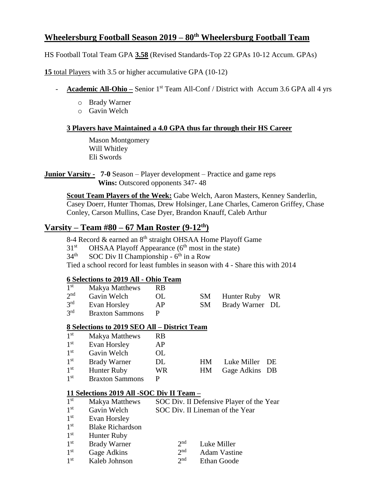# **Wheelersburg Football Season 2019 – 80th Wheelersburg Football Team**

HS Football Total Team GPA **3.58** (Revised Standards-Top 22 GPAs 10-12 Accum. GPAs)

**15** total Players with 3.5 or higher accumulative GPA (10-12)

- **Academic All-Ohio** Senior 1<sup>st</sup> Team All-Conf / District with Accum 3.6 GPA all 4 yrs
	- o Brady Warner
	- o Gavin Welch

### **3 Players have Maintained a 4.0 GPA thus far through their HS Career**

Mason Montgomery Will Whitley Eli Swords

**Junior Varsity - 7-0** Season – Player development – Practice and game reps  **Wins:** Outscored opponents 347- 48

**Scout Team Players of the Week:** Gabe Welch, Aaron Masters, Kenney Sanderlin, Casey Doerr, Hunter Thomas, Drew Holsinger, Lane Charles, Cameron Griffey, Chase Conley, Carson Mullins, Case Dyer, Brandon Knauff, Caleb Arthur

# **Varsity – Team #80 – 67 Man Roster (9-12th)**

8-4 Record & earned an 8<sup>th</sup> straight OHSAA Home Playoff Game

 $31<sup>st</sup>$  $^{\text{st}}$  OHSAA Playoff Appearance ( $6^{\text{th}}$  most in the state)

 $34<sup>th</sup>$  $t^{\text{th}}$  SOC Div II Championship -  $6^{\text{th}}$  in a Row

Tied a school record for least fumbles in season with 4 - Share this with 2014

## **6 Selections to 2019 All - Ohio Team**

| 1 <sup>st</sup> | <b>Makya Matthews</b>  | RB. |     |                    |  |
|-----------------|------------------------|-----|-----|--------------------|--|
| 2 <sub>nd</sub> | Gavin Welch            | OL. | SM. | Hunter Ruby WR     |  |
| 3 <sup>rd</sup> | Evan Horsley           | AP  |     | SM Brady Warner DL |  |
| 3 <sup>rd</sup> | <b>Braxton Sammons</b> | p   |     |                    |  |

## **8 Selections to 2019 SEO All – District Team**

| 1 <sup>st</sup> | Makya Matthews         | <b>RB</b> |     |                |  |
|-----------------|------------------------|-----------|-----|----------------|--|
| 1 <sup>st</sup> | Evan Horsley           | AP        |     |                |  |
| 1 <sup>st</sup> | Gavin Welch            | OL        |     |                |  |
| 1 <sup>st</sup> | <b>Brady Warner</b>    | DL        | HM. | Luke Miller DE |  |
| 1 <sup>st</sup> | <b>Hunter Ruby</b>     | WR        | HM  | Gage Adkins DB |  |
| 1 <sup>st</sup> | <b>Braxton Sammons</b> | p         |     |                |  |

#### **11 Selections 2019 All -SOC Div II Team –**

| 1 <sup>st</sup> | Makya Matthews          | SOC Div. II Defensive Player of the Year |  |  |  |
|-----------------|-------------------------|------------------------------------------|--|--|--|
| 1 <sup>st</sup> | Gavin Welch             | SOC Div. II Lineman of the Year          |  |  |  |
| 1 <sup>st</sup> | Evan Horsley            |                                          |  |  |  |
| 1 <sup>st</sup> | <b>Blake Richardson</b> |                                          |  |  |  |
| 1 <sup>st</sup> | <b>Hunter Ruby</b>      |                                          |  |  |  |
| 1 <sup>st</sup> | <b>Brady Warner</b>     | $2^{nd}$<br>Luke Miller                  |  |  |  |

- $1<sup>st</sup>$ Gage Adkins  $2<sup>nd</sup>$ Adam Vastine
- $1^{\rm st}$ Kaleb Johnson  $2<sup>nd</sup>$ Ethan Goode